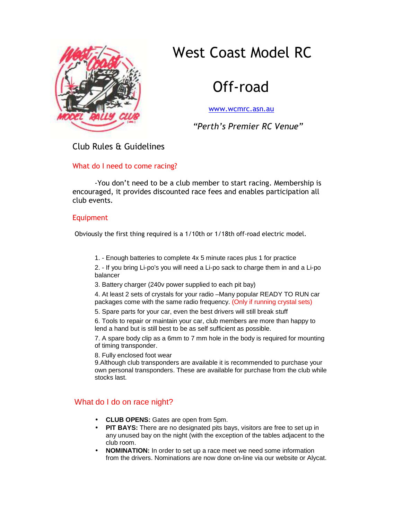# West Coast Model RC



## Off-road

www.wcmrc.asn.au

 *"Perth's Premier RC Venue"* 

### Club Rules & Guidelines

#### What do I need to come racing?

-You don't need to be a club member to start racing. Membership is encouraged, it provides discounted race fees and enables participation all club events.

#### Equipment

Obviously the first thing required is a 1/10th or 1/18th off-road electric model.

1. - Enough batteries to complete 4x 5 minute races plus 1 for practice

2. - If you bring Li-po's you will need a Li-po sack to charge them in and a Li-po balancer

3. Battery charger (240v power supplied to each pit bay)

4. At least 2 sets of crystals for your radio –Many popular READY TO RUN car packages come with the same radio frequency. (Only if running crystal sets)

5. Spare parts for your car, even the best drivers will still break stuff

6. Tools to repair or maintain your car, club members are more than happy to lend a hand but is still best to be as self sufficient as possible.

7. A spare body clip as a 6mm to 7 mm hole in the body is required for mounting of timing transponder.

8. Fully enclosed foot wear

9.Although club transponders are available it is recommended to purchase your own personal transponders. These are available for purchase from the club while stocks last.

### What do I do on race night?

- **CLUB OPENS:** Gates are open from 5pm.
- **PIT BAYS:** There are no designated pits bays, visitors are free to set up in any unused bay on the night (with the exception of the tables adjacent to the club room.
- **NOMINATION:** In order to set up a race meet we need some information from the drivers. Nominations are now done on-line via our website or Alycat.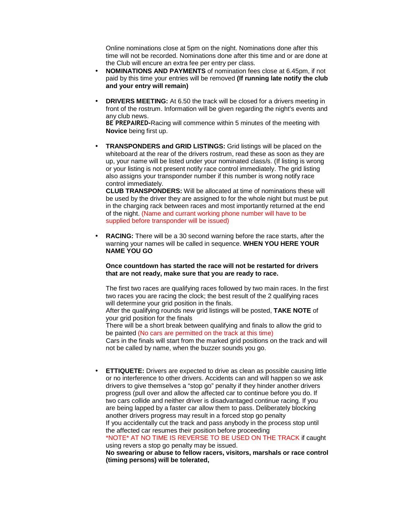Online nominations close at 5pm on the night. Nominations done after this time will not be recorded. Nominations done after this time and or are done at the Club will encure an extra fee per entry per class.

- **NOMINATIONS AND PAYMENTS** of nomination fees close at 6.45pm, if not paid by this time your entries will be removed **(If running late notify the club and your entry will remain)**
- **DRIVERS MEETING:** At 6.50 the track will be closed for a drivers meeting in front of the rostrum. Information will be given regarding the night's events and any club news.

**BE PREPAIRED-**Racing will commence within 5 minutes of the meeting with **Novice** being first up.

• **TRANSPONDERS and GRID LISTINGS:** Grid listings will be placed on the whiteboard at the rear of the drivers rostrum, read these as soon as they are up, your name will be listed under your nominated class/s. (If listing is wrong or your listing is not present notify race control immediately. The grid listing also assigns your transponder number if this number is wrong notify race control immediately.

**CLUB TRANSPONDERS:** Will be allocated at time of nominations these will be used by the driver they are assigned to for the whole night but must be put in the charging rack between races and most importantly returned at the end of the night. (Name and currant working phone number will have to be supplied before transponder will be issued)

**RACING:** There will be a 30 second warning before the race starts, after the warning your names will be called in sequence. **WHEN YOU HERE YOUR NAME YOU GO** 

**Once countdown has started the race will not be restarted for drivers that are not ready, make sure that you are ready to race.** 

The first two races are qualifying races followed by two main races. In the first two races you are racing the clock; the best result of the 2 qualifying races will determine your grid position in the finals.

After the qualifying rounds new grid listings will be posted, **TAKE NOTE** of your grid position for the finals

There will be a short break between qualifying and finals to allow the grid to be painted (No cars are permitted on the track at this time)

Cars in the finals will start from the marked grid positions on the track and will not be called by name, when the buzzer sounds you go.

• **ETTIQUETE:** Drivers are expected to drive as clean as possible causing little or no interference to other drivers. Accidents can and will happen so we ask drivers to give themselves a "stop go" penalty if they hinder another drivers progress (pull over and allow the affected car to continue before you do. If two cars collide and neither driver is disadvantaged continue racing. If you are being lapped by a faster car allow them to pass. Deliberately blocking another drivers progress may result in a forced stop go penalty If you accidentally cut the track and pass anybody in the process stop until the affected car resumes their position before proceeding

\*NOTE\* AT NO TIME IS REVERSE TO BE USED ON THE TRACK if caught using revers a stop go penalty may be issued.

**No swearing or abuse to fellow racers, visitors, marshals or race control (timing persons) will be tolerated,**